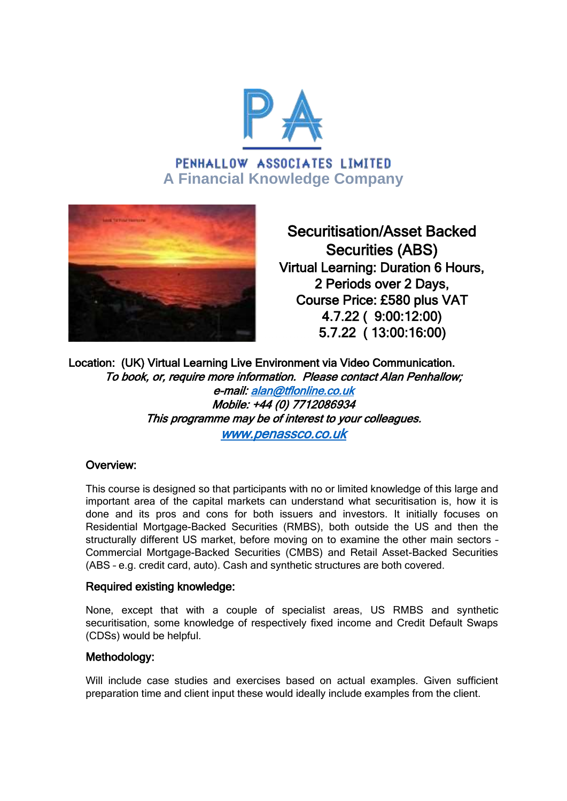

# PENHALLOW ASSOCIATES LIMITED **A Financial Knowledge Company**



Securitisation/Asset Backed Securities (ABS) Virtual Learning: Duration 6 Hours, 2 Periods over 2 Days, Course Price: £580 plus VAT 4.7.22 ( 9:00:12:00) 5.7.22 ( 13:00:16:00)

Location: (UK) Virtual Learning Live Environment via Video Communication. To book, or, require more information. Please contact Alan Penhallow; e-mail: [alan@tflonline.co.uk](mailto:alan@tflonline.co.uk)  Mobile: +44 (0) 7712086934 This programme may be of interest to your colleagues. [www.penassco.co.uk](http://www.penassco.co.uk/) 

### Overview:

This course is designed so that participants with no or limited knowledge of this large and important area of the capital markets can understand what securitisation is, how it is done and its pros and cons for both issuers and investors. It initially focuses on Residential Mortgage-Backed Securities (RMBS), both outside the US and then the structurally different US market, before moving on to examine the other main sectors – Commercial Mortgage-Backed Securities (CMBS) and Retail Asset-Backed Securities (ABS – e.g. credit card, auto). Cash and synthetic structures are both covered.

### Required existing knowledge:

None, except that with a couple of specialist areas, US RMBS and synthetic securitisation, some knowledge of respectively fixed income and Credit Default Swaps (CDSs) would be helpful.

### Methodology:

Will include case studies and exercises based on actual examples. Given sufficient preparation time and client input these would ideally include examples from the client.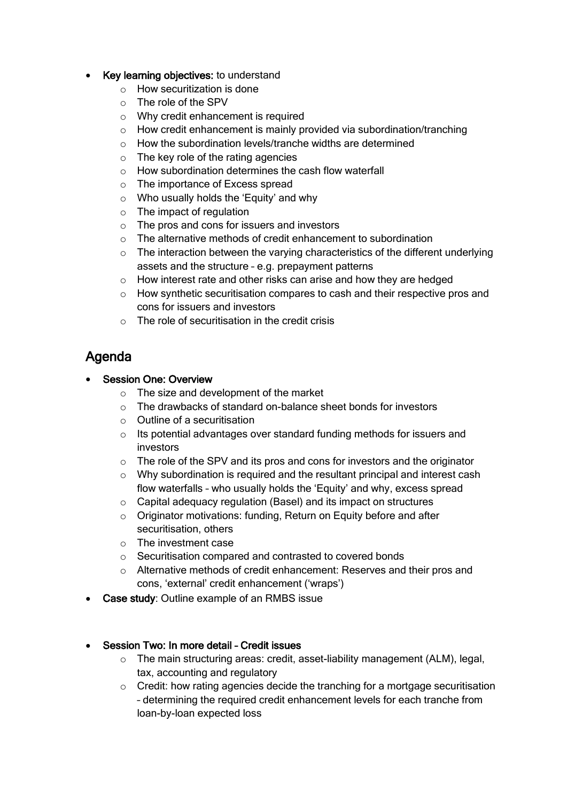### • Key learning objectives: to understand

- o How securitization is done
- o The role of the SPV
- o Why credit enhancement is required
- o How credit enhancement is mainly provided via subordination/tranching
- o How the subordination levels/tranche widths are determined
- o The key role of the rating agencies
- o How subordination determines the cash flow waterfall
- o The importance of Excess spread
- o Who usually holds the 'Equity' and why
- o The impact of regulation
- o The pros and cons for issuers and investors
- $\circ$  The alternative methods of credit enhancement to subordination
- $\circ$  The interaction between the varying characteristics of the different underlying assets and the structure – e.g. prepayment patterns
- o How interest rate and other risks can arise and how they are hedged
- $\circ$  How synthetic securitisation compares to cash and their respective pros and cons for issuers and investors
- $\circ$  The role of securitisation in the credit crisis

# Agenda

# Session One: Overview

- $\circ$  The size and development of the market
- o The drawbacks of standard on-balance sheet bonds for investors
- o Outline of a securitisation
- o Its potential advantages over standard funding methods for issuers and investors
- $\circ$  The role of the SPV and its pros and cons for investors and the originator
- o Why subordination is required and the resultant principal and interest cash flow waterfalls – who usually holds the 'Equity' and why, excess spread
- o Capital adequacy regulation (Basel) and its impact on structures
- o Originator motivations: funding, Return on Equity before and after securitisation, others
- o The investment case
- o Securitisation compared and contrasted to covered bonds
- o Alternative methods of credit enhancement: Reserves and their pros and cons, 'external' credit enhancement ('wraps')
- Case study: Outline example of an RMBS issue

### Session Two: In more detail – Credit issues

- $\circ$  The main structuring areas: credit, asset-liability management (ALM), legal, tax, accounting and regulatory
- o Credit: how rating agencies decide the tranching for a mortgage securitisation – determining the required credit enhancement levels for each tranche from loan-by-loan expected loss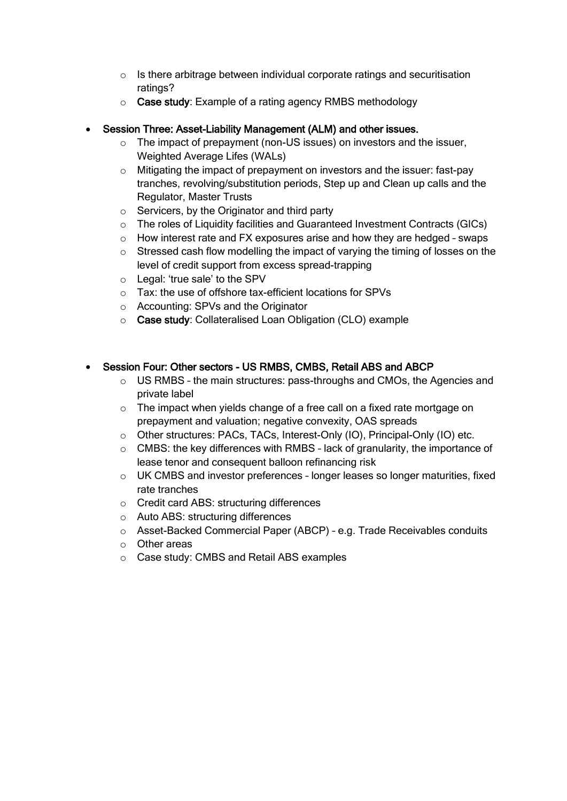- $\circ$  Is there arbitrage between individual corporate ratings and securitisation ratings?
- o Case study: Example of a rating agency RMBS methodology

# Session Three: Asset-Liability Management (ALM) and other issues.

- o The impact of prepayment (non-US issues) on investors and the issuer, Weighted Average Lifes (WALs)
- o Mitigating the impact of prepayment on investors and the issuer: fast-pay tranches, revolving/substitution periods, Step up and Clean up calls and the Regulator, Master Trusts
- o Servicers, by the Originator and third party
- o The roles of Liquidity facilities and Guaranteed Investment Contracts (GICs)
- $\circ$  How interest rate and FX exposures arise and how they are hedged swaps
- o Stressed cash flow modelling the impact of varying the timing of losses on the level of credit support from excess spread-trapping
- o Legal: 'true sale' to the SPV
- o Tax: the use of offshore tax-efficient locations for SPVs
- o Accounting: SPVs and the Originator
- o Case study: Collateralised Loan Obligation (CLO) example

# Session Four: Other sectors - US RMBS, CMBS, Retail ABS and ABCP

- $\circ$  US RMBS the main structures: pass-throughs and CMOs, the Agencies and private label
- $\circ$  The impact when yields change of a free call on a fixed rate mortgage on prepayment and valuation; negative convexity, OAS spreads
- o Other structures: PACs, TACs, Interest-Only (IO), Principal-Only (IO) etc.
- $\circ$  CMBS: the key differences with RMBS lack of granularity, the importance of lease tenor and consequent balloon refinancing risk
- $\circ$  UK CMBS and investor preferences longer leases so longer maturities, fixed rate tranches
- o Credit card ABS: structuring differences
- o Auto ABS: structuring differences
- o Asset-Backed Commercial Paper (ABCP) e.g. Trade Receivables conduits
- o Other areas
- o Case study: CMBS and Retail ABS examples